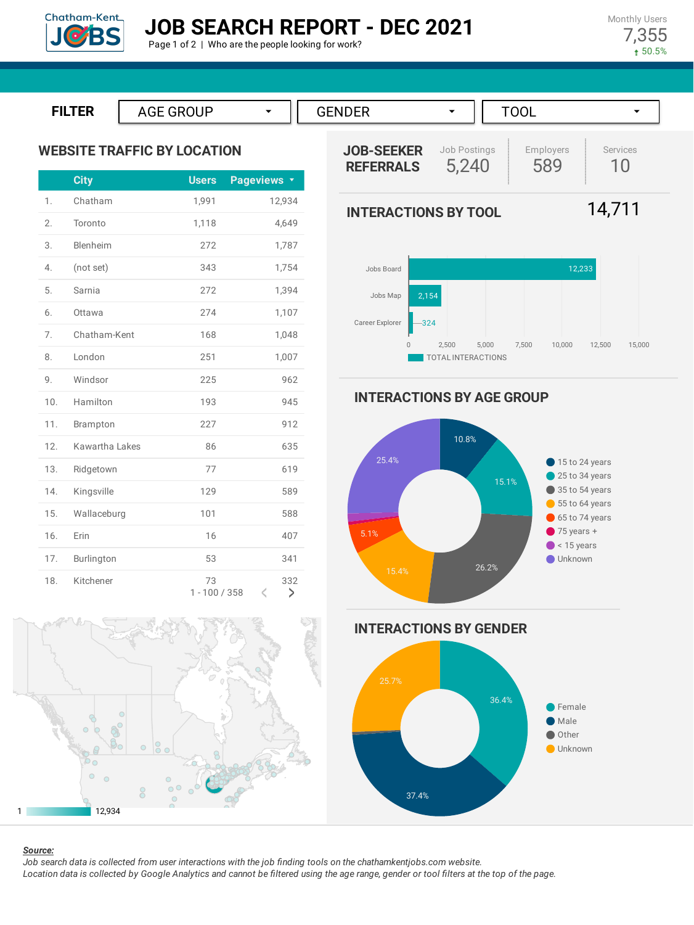

Monthly Users 7,355 50.5%







# 1 12,934

### *Source:*

Job search data is collected from user interactions with the job finding tools on the chathamkentjobs.com website. Location data is collected by Google Analytics and cannot be filtered using the age range, gender or tool filters at the top of the page.

589 10

> 15 to 24 years 25 to 34 years 35 to 54 years 55 to 64 years 65 to 74 years  $\bullet$  75 years +  $\bullet$  < 15 years Unknown

14,711

Services



**INTERACTIONS BY AGE GROUP**